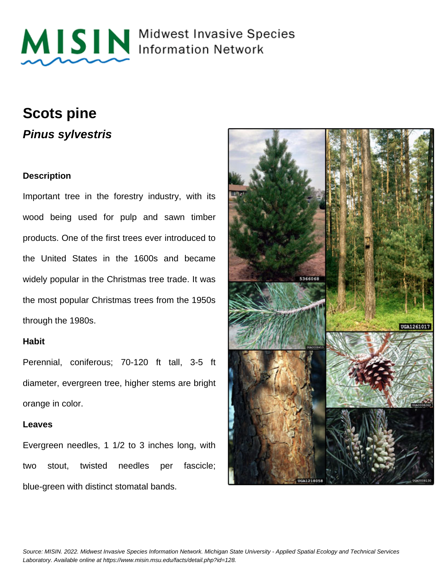

MISIN Midwest Invasive Species

## **Scots pine Pinus sylvestris**

#### **Description**

Important tree in the forestry industry, with its wood being used for pulp and sawn timber products. One of the first trees ever introduced to the United States in the 1600s and became widely popular in the Christmas tree trade. It was the most popular Christmas trees from the 1950s through the 1980s.

#### **Habit**

Perennial, coniferous; 70-120 ft tall, 3-5 ft diameter, evergreen tree, higher stems are bright orange in color.

#### **Leaves**

Evergreen needles, 1 1/2 to 3 inches long, with two stout, twisted needles per fascicle; blue-green with distinct stomatal bands.

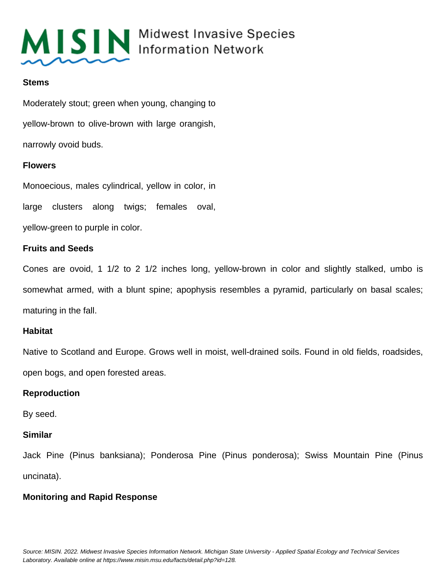

#### **Stems**

Moderately stout; green when young, changing to yellow-brown to olive-brown with large orangish, narrowly ovoid buds.

#### **Flowers**

Monoecious, males cylindrical, yellow in color, in large clusters along twigs; females oval, yellow-green to purple in color.

#### **Fruits and Seeds**

Cones are ovoid, 1 1/2 to 2 1/2 inches long, yellow-brown in color and slightly stalked, umbo is somewhat armed, with a blunt spine; apophysis resembles a pyramid, particularly on basal scales; maturing in the fall.

#### **Habitat**

Native to Scotland and Europe. Grows well in moist, well-drained soils. Found in old fields, roadsides, open bogs, and open forested areas.

#### **Reproduction**

By seed.

#### **Similar**

Jack Pine (Pinus banksiana); Ponderosa Pine (Pinus ponderosa); Swiss Mountain Pine (Pinus uncinata).

#### **Monitoring and Rapid Response**